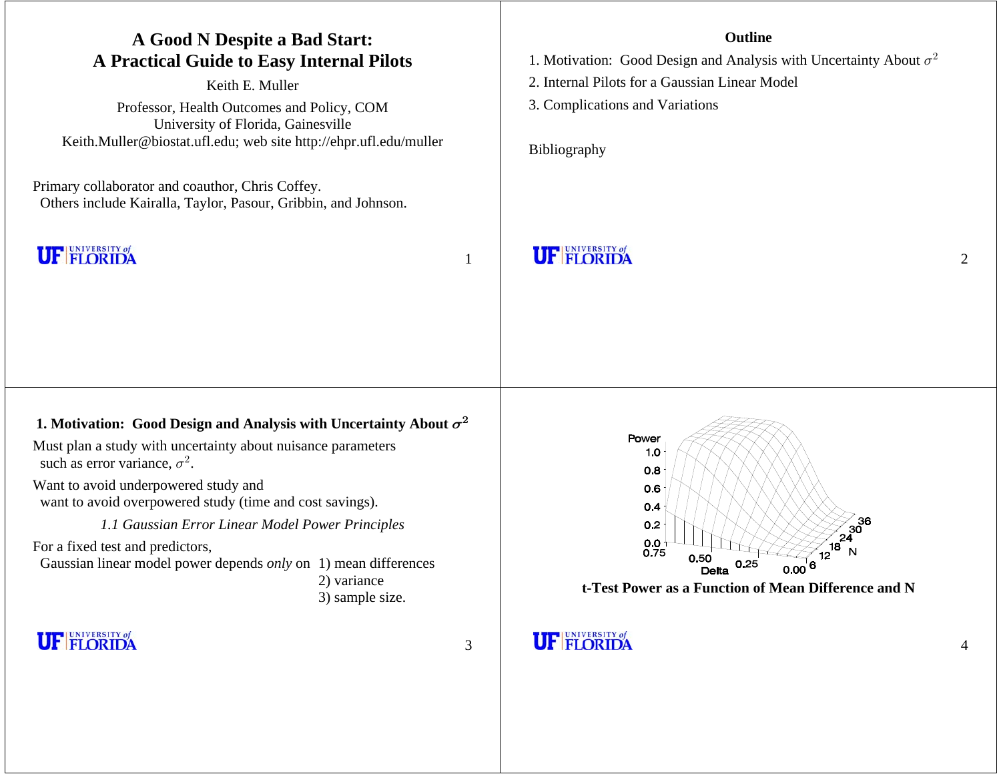| A Good N Despite a Bad Start:<br><b>A Practical Guide to Easy Internal Pilots</b><br>Keith E. Muller<br>Professor, Health Outcomes and Policy, COM<br>University of Florida, Gainesville<br>Keith.Muller@biostat.ufl.edu; web site http://ehpr.ufl.edu/muller<br>Primary collaborator and coauthor, Chris Coffey.<br>Others include Kairalla, Taylor, Pasour, Gribbin, and Johnson.                                                                                                | Outline<br>1. Motivation: Good Design and Analysis with Uncertainty About $\sigma^2$<br>2. Internal Pilots for a Gaussian Linear Model<br>3. Complications and Variations<br>Bibliography |
|------------------------------------------------------------------------------------------------------------------------------------------------------------------------------------------------------------------------------------------------------------------------------------------------------------------------------------------------------------------------------------------------------------------------------------------------------------------------------------|-------------------------------------------------------------------------------------------------------------------------------------------------------------------------------------------|
| <b>UF FLORIDA</b>                                                                                                                                                                                                                                                                                                                                                                                                                                                                  | <b>UF FLORIDA</b><br>$\overline{2}$                                                                                                                                                       |
|                                                                                                                                                                                                                                                                                                                                                                                                                                                                                    |                                                                                                                                                                                           |
| 1. Motivation: Good Design and Analysis with Uncertainty About $\sigma^2$<br>Must plan a study with uncertainty about nuisance parameters<br>such as error variance, $\sigma^2$ .<br>Want to avoid underpowered study and<br>want to avoid overpowered study (time and cost savings).<br>1.1 Gaussian Error Linear Model Power Principles<br>For a fixed test and predictors,<br>Gaussian linear model power depends only on 1) mean differences<br>2) variance<br>3) sample size. | Power<br>1.0<br>0.8<br>0.6<br>0.4<br>0.2<br>$0.0 + 0.75$<br>N<br>0.50<br>0.25<br>6<br>0.00<br>Delta<br>t-Test Power as a Function of Mean Difference and N                                |
| <b>UF FLORIDA</b><br>3                                                                                                                                                                                                                                                                                                                                                                                                                                                             | <b>UF FLORIDA</b><br>4                                                                                                                                                                    |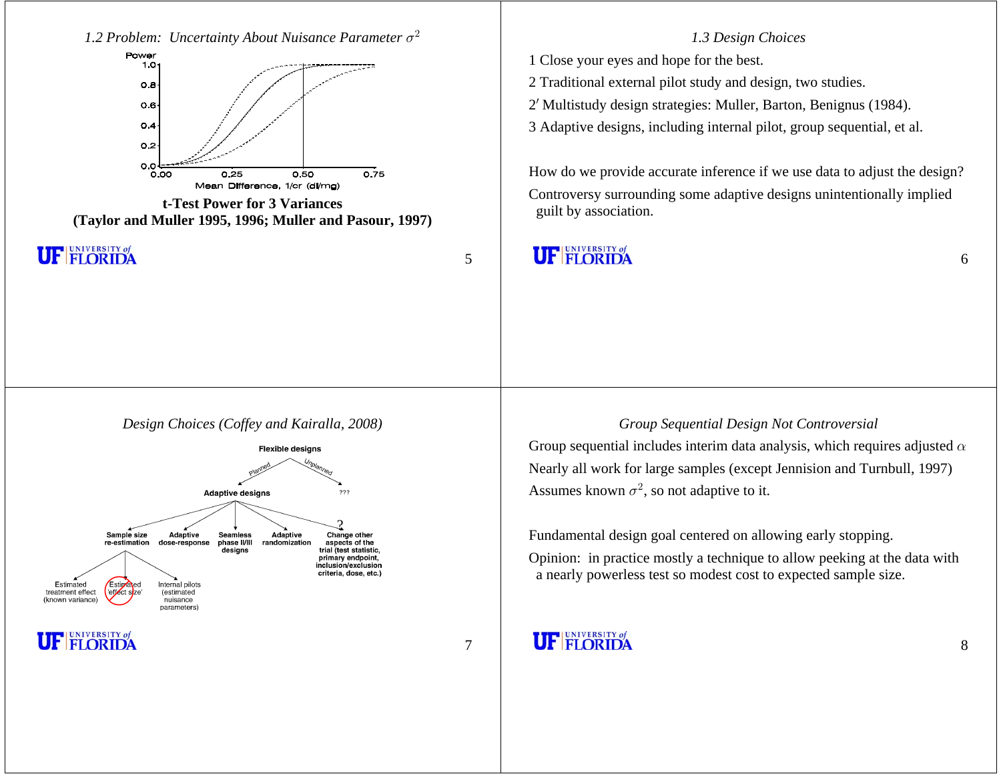1.2 Problem: Uncertainty About Nuisance Parameter  $\sigma^2$ 



**t-Test Power for 3 Variances(Taylor and Muller 1995, 1996; Muller and Pasour, 1997)**

**UF FLORIDA** 

5

#### *Design Choices (Coffey and Kairalla, 2008)*



UNIVERSITY of m

7

#### *1.3 Design Choices*

1 Close your eyes and hope for the best.

2 Traditional external pilot study and design, two studies.

<sup>2</sup> Multistudy design strategies: Muller, Barton, Benignus (1984). <sup>w</sup>

3 Adaptive designs, including internal pilot, group sequential, et al.

How do we provide accurate inference if we use data to adjust the design? Controversy surrounding some adaptive designs unintentionally implied guilt by association.

# **UF FLORIDA**

### *Group Sequential Design Not Controversial*

Group sequential includes interim data analysis, which requires adjusted  $\alpha$ Nearly all work for large samples (except Jennision and Turnbull, 1997) Assumes known  $\sigma^2$ , so not adaptive to it.

Fundamental design goal centered on allowing early stopping.

Opinion: in practice mostly a technique to allow peeking at the data with a nearly powerless test so modest cost to expected sample size.

# **UF FLORIDA**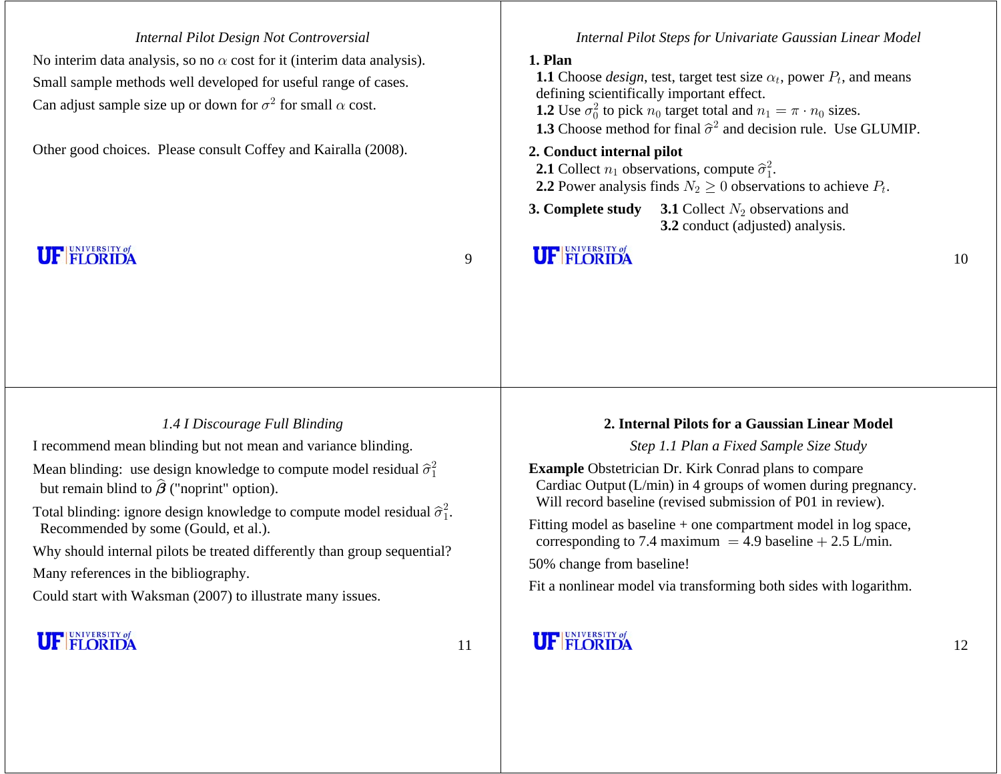*Internal Pilot Design Not Controversial* No interim data analysis, so no  $\alpha$  cost for it (interim data analysis). Small sample methods well developed for useful range of cases. Can adjust sample size up or down for  $\sigma^2$  for small  $\alpha$  cost.

Other good choices. Please consult Coffey and Kairalla (2008).

**UF FLORIDA** 

9

#### *Internal Pilot Steps for Univariate Gaussian Linear Model*

### **1. Plan**

**1.1** Choose *design*, test, target test size  $\alpha_t$ , power  $P_t$ , and means defining scientifically important effect. **1.2** Use  $\sigma_0^2$  to pick  $n_0$  target total and  $n_1 = \pi \cdot n_0$  sizes.

**1.3** Choose method for final  $\hat{\sigma}^2$  and decision rule. Use GLUMIP.

### **2. Conduct internal pilot**

**2.1** Collect  $n_1$  observations, compute  $\hat{\sigma}_1^2$ .

**2.2** Power analysis finds  $N_2 \geq 0$  observations to achieve  $P_t$ .

**3. Complete study 3.1** Collect  $N_2$  observations and 3.2 conduct (adjusted) analysis.

### **UF FLORIDA**

### *1.4 I Discourage Full Blinding*

I recommend mean blinding but not mean and variance blinding.

Mean blinding: use design knowledge to compute model residual  $\hat{\sigma}_1^2$ but remain blind to  $\widehat{\boldsymbol{\beta}}$  ("noprint" option).

Total blinding: ignore design knowledge to compute model residual  $\hat{\sigma}_1^2$ . Recommended by some (Gould, et al.).

Why should internal pilots be treated differently than group sequential? Many references in the bibliography.

Could start with Waksman (2007) to illustrate many issues.

### **UF FLORIDA**

11

#### **2. Internal Pilots for a Gaussian Linear Model**

*Step 1.1 Plan a Fixed Sample Size Study*

**Example** Obstetrician Dr. Kirk Conrad plans to compare Cardiac Output (L/min) in 4 groups of women during pregnancy. Will record baseline (revised submission of P01 in review).

Fitting model as baseline + one compartment model in log space, corresponding to 7.4 maximum = 4.9 baseline  $+ 2.5$  L/min.

50% change from baseline!

Fit a nonlinear model via transforming both sides with logarithm.

# **UF FLORIDA**

10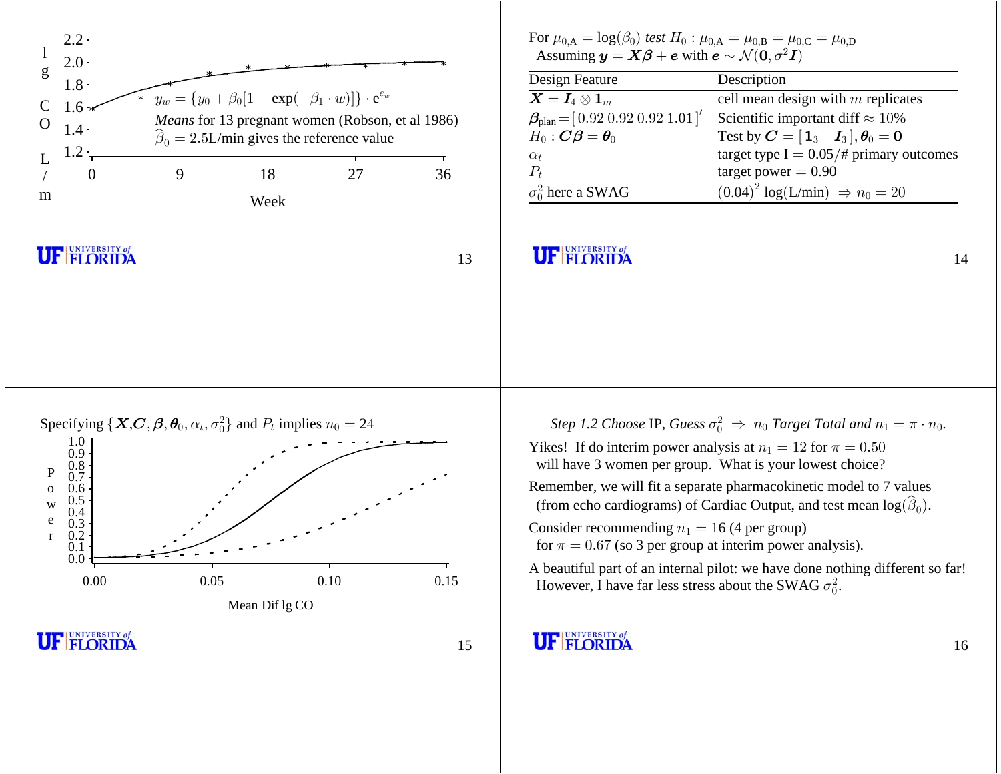

<sup>16</sup>

14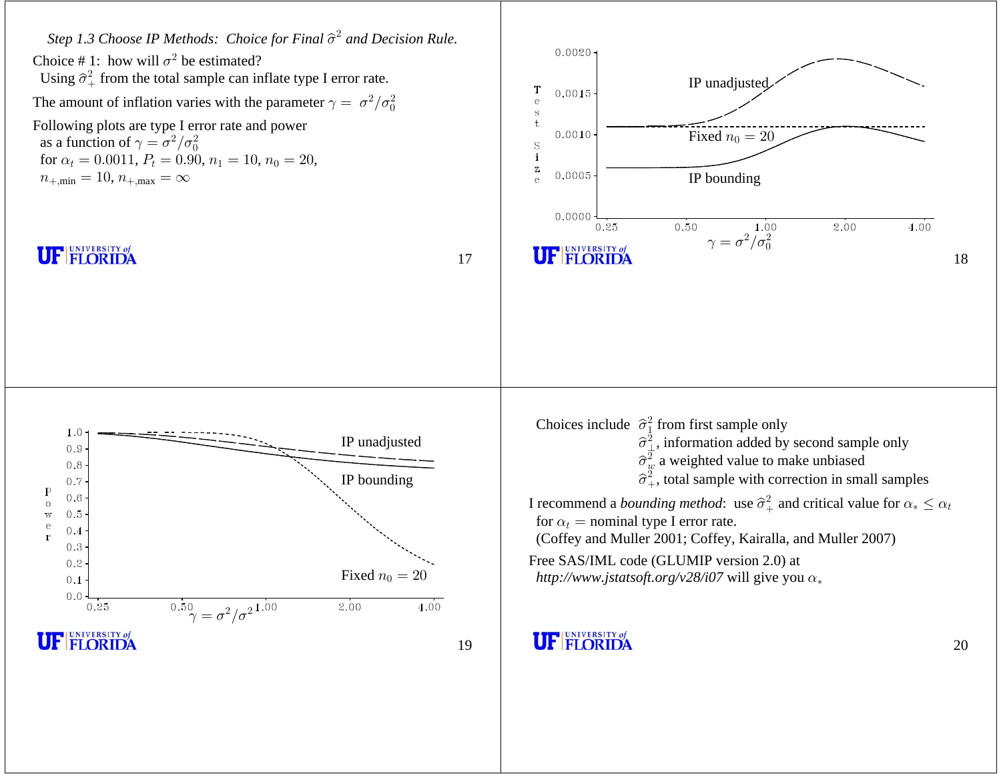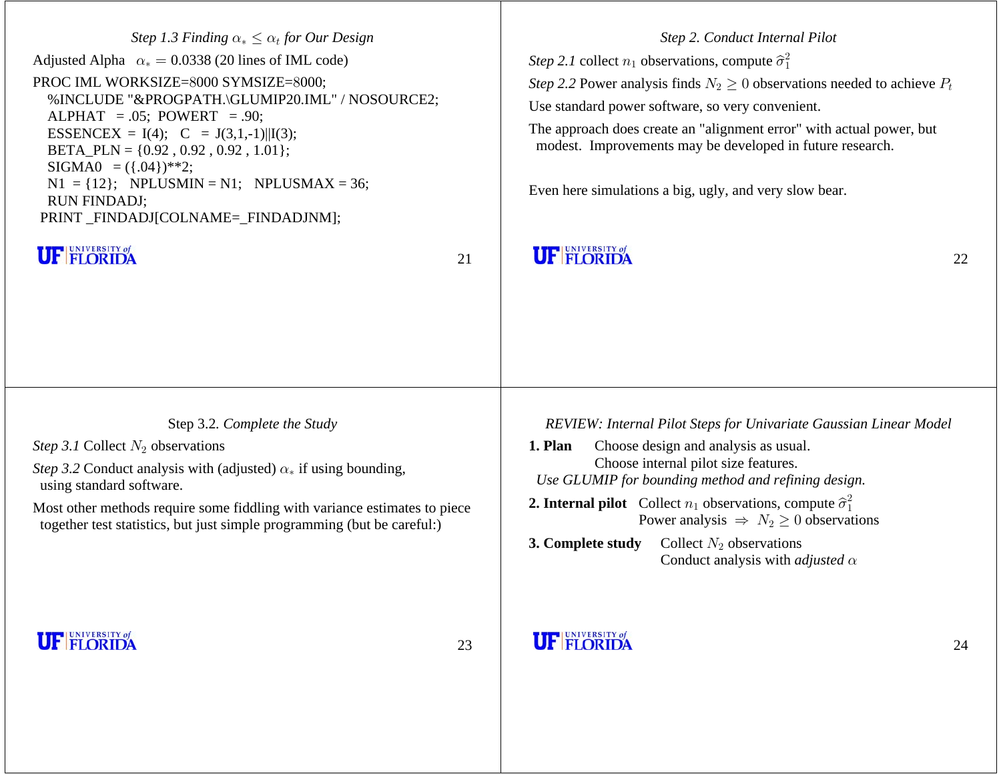| Step 1.3 Finding $\alpha_* \leq \alpha_t$ for Our Design<br>Adjusted Alpha $\alpha_* = 0.0338$ (20 lines of IML code)<br>PROC IML WORKSIZE=8000 SYMSIZE=8000;<br>%INCLUDE "&PROGPATH.\GLUMIP20.IML" / NOSOURCE2;<br>$ALPHAT = .05$ ; POWERT = .90;<br>ESSENCEX = I(4); $C = J(3,1,-1)    I(3);$<br>BETA_PLN = $\{0.92, 0.92, 0.92, 1.01\}$ ;<br>$SIGMA0 = (\{.04\})$ **2;<br>$N1 = \{12\}$ ; NPLUSMIN = N1; NPLUSMAX = 36;<br><b>RUN FINDADJ;</b> |    | Step 2. Conduct Internal Pilot<br><i>Step 2.1</i> collect $n_1$ observations, compute $\hat{\sigma}_1^2$<br>Step 2.2 Power analysis finds $N_2 \geq 0$ observations needed to achieve $P_t$<br>Use standard power software, so very convenient.<br>The approach does create an "alignment error" with actual power, but<br>modest. Improvements may be developed in future research.<br>Even here simulations a big, ugly, and very slow bear. |    |
|---------------------------------------------------------------------------------------------------------------------------------------------------------------------------------------------------------------------------------------------------------------------------------------------------------------------------------------------------------------------------------------------------------------------------------------------------|----|------------------------------------------------------------------------------------------------------------------------------------------------------------------------------------------------------------------------------------------------------------------------------------------------------------------------------------------------------------------------------------------------------------------------------------------------|----|
| PRINT_FINDADJ[COLNAME=_FINDADJNM];                                                                                                                                                                                                                                                                                                                                                                                                                |    |                                                                                                                                                                                                                                                                                                                                                                                                                                                |    |
| <b>UF FLORIDA</b>                                                                                                                                                                                                                                                                                                                                                                                                                                 | 21 | <b>UF FLORIDA</b>                                                                                                                                                                                                                                                                                                                                                                                                                              | 22 |
|                                                                                                                                                                                                                                                                                                                                                                                                                                                   |    |                                                                                                                                                                                                                                                                                                                                                                                                                                                |    |
|                                                                                                                                                                                                                                                                                                                                                                                                                                                   |    |                                                                                                                                                                                                                                                                                                                                                                                                                                                |    |
|                                                                                                                                                                                                                                                                                                                                                                                                                                                   |    |                                                                                                                                                                                                                                                                                                                                                                                                                                                |    |
| Step 3.2. Complete the Study                                                                                                                                                                                                                                                                                                                                                                                                                      |    | REVIEW: Internal Pilot Steps for Univariate Gaussian Linear Model                                                                                                                                                                                                                                                                                                                                                                              |    |
| <i>Step 3.1</i> Collect $N_2$ observations                                                                                                                                                                                                                                                                                                                                                                                                        |    | Choose design and analysis as usual.<br>1. Plan                                                                                                                                                                                                                                                                                                                                                                                                |    |

*Step 3.2* Conduct analysis with (adjusted)  $\alpha_*$  if using bounding, using standard software.

Most other methods require some fiddling with variance estimates to piece together test statistics, but just simple programming (but be careful:)

**UF FLORIDA** 

- **1. Plan** Choose design and analysis as usual. Choose internal pilot size features. *Use GLUMIP for bounding method and refining design.*
- **2. Internal pilot** Collect  $n_1$  observations, compute  $\hat{\sigma}_1^2$ Power analysis  $\Rightarrow N_2 \geq 0$  observations
- **3. Complete study** Collect  $N_2$  observations Conduct analysis with *adjusted* α

# **UF FLORIDA**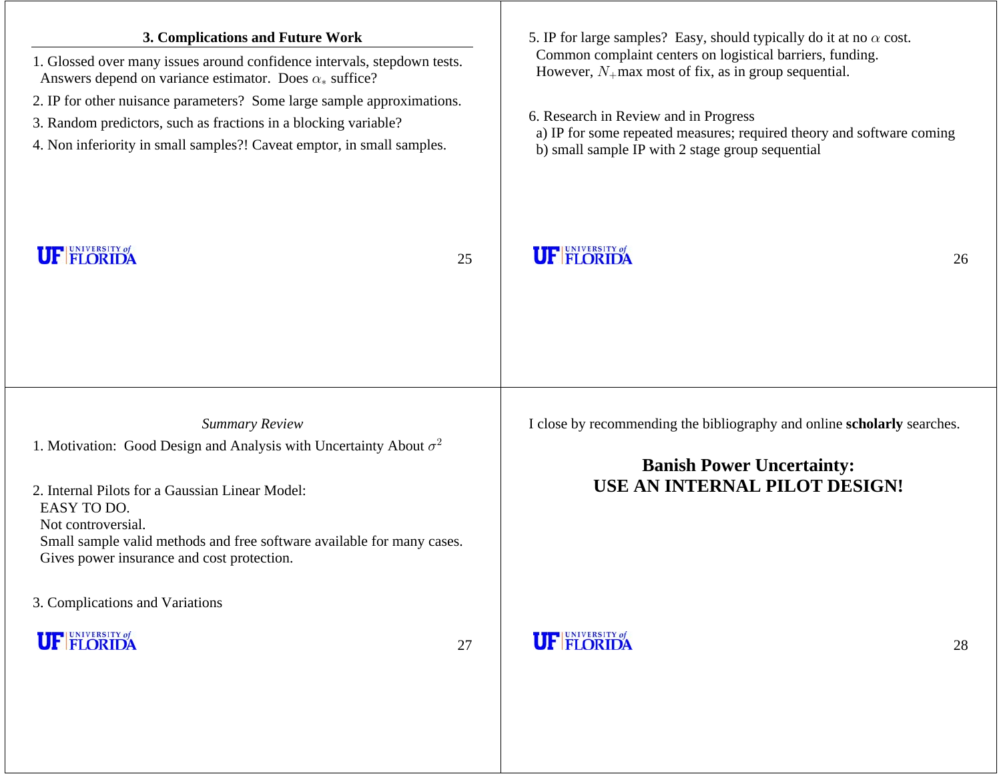| 3. Complications and Future Work<br>1. Glossed over many issues around confidence intervals, stepdown tests.<br>Answers depend on variance estimator. Does $\alpha_*$ suffice?<br>2. IP for other nuisance parameters? Some large sample approximations.<br>3. Random predictors, such as fractions in a blocking variable?<br>4. Non inferiority in small samples?! Caveat emptor, in small samples.<br><b>UF FLORIDA</b> | 25 | 5. IP for large samples? Easy, should typically do it at no $\alpha$ cost.<br>Common complaint centers on logistical barriers, funding.<br>However, $N_+$ max most of fix, as in group sequential.<br>6. Research in Review and in Progress<br>a) IP for some repeated measures; required theory and software coming<br>b) small sample IP with 2 stage group sequential<br><b>UF FLORIDA</b><br>26 |
|----------------------------------------------------------------------------------------------------------------------------------------------------------------------------------------------------------------------------------------------------------------------------------------------------------------------------------------------------------------------------------------------------------------------------|----|-----------------------------------------------------------------------------------------------------------------------------------------------------------------------------------------------------------------------------------------------------------------------------------------------------------------------------------------------------------------------------------------------------|
| <b>Summary Review</b><br>1. Motivation: Good Design and Analysis with Uncertainty About $\sigma^2$<br>2. Internal Pilots for a Gaussian Linear Model:<br>EASY TO DO.<br>Not controversial.<br>Small sample valid methods and free software available for many cases.<br>Gives power insurance and cost protection.<br>3. Complications and Variations                                                                      |    | I close by recommending the bibliography and online scholarly searches.<br><b>Banish Power Uncertainty:</b><br>USE AN INTERNAL PILOT DESIGN!                                                                                                                                                                                                                                                        |
| <b>UF FLORIDA</b>                                                                                                                                                                                                                                                                                                                                                                                                          | 27 | <b>UF FLORIDA</b><br>28                                                                                                                                                                                                                                                                                                                                                                             |